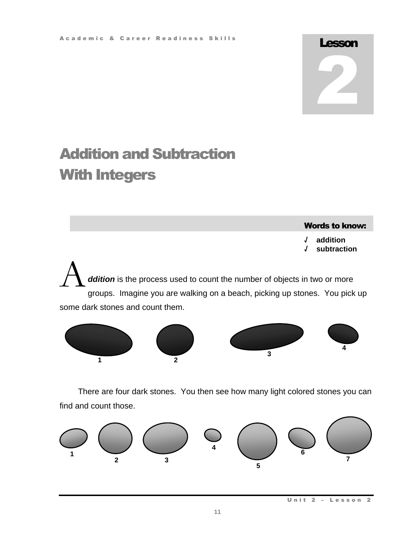# Lesson 2

# Addition and Subtraction With Integers

Words to know:

**√ addition √ subtraction**

ddition is the process used to count the number of objects in two or more groups. Imagine you are walking on a beach, picking up stones. You pick up some dark stones and count them. A



There are four dark stones. You then see how many light colored stones you can find and count those.



Unit 2 - Lesson 2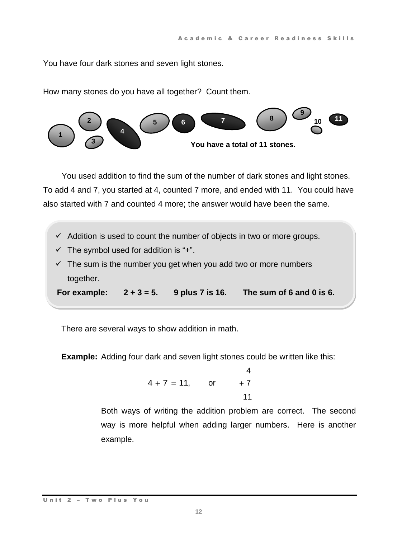You have four dark stones and seven light stones.

How many stones do you have all together? Count them.



You used addition to find the sum of the number of dark stones and light stones. To add 4 and 7, you started at 4, counted 7 more, and ended with 11. You could have also started with 7 and counted 4 more; the answer would have been the same.

- $\checkmark$  Addition is used to count the number of objects in two or more groups.
- $\checkmark$  The symbol used for addition is "+".
- $\checkmark$  The sum is the number you get when you add two or more numbers together.

**For example: 2 + 3 = 5. 9 plus 7 is 16. The sum of 6 and 0 is 6.**

There are several ways to show addition in math.

**Example:** Adding four dark and seven light stones could be written like this:

$$
4 + 7 = 11
$$
, or  $\frac{4}{11}$ 

Both ways of writing the addition problem are correct. The second way is more helpful when adding larger numbers. Here is another example.

Unit 2 - Two Plus You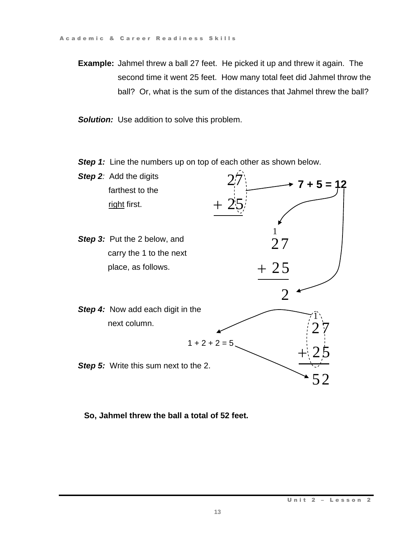**Example:** Jahmel threw a ball 27 feet. He picked it up and threw it again. The second time it went 25 feet. How many total feet did Jahmel throw the ball? Or, what is the sum of the distances that Jahmel threw the ball?

**Solution:** Use addition to solve this problem.

**Step 1:** Line the numbers up on top of each other as shown below.



**So, Jahmel threw the ball a total of 52 feet.**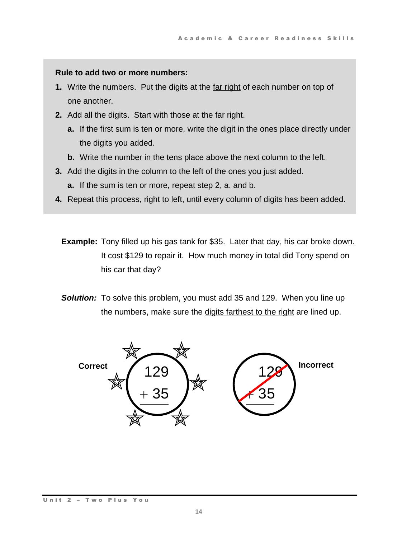#### **Rule to add two or more numbers:**

- **1.** Write the numbers. Put the digits at the far right of each number on top of one another.
- **2.** Add all the digits. Start with those at the far right.
	- **a.** If the first sum is ten or more, write the digit in the ones place directly under the digits you added.
	- **b.** Write the number in the tens place above the next column to the left.
- **3.** Add the digits in the column to the left of the ones you just added.
	- **a.** If the sum is ten or more, repeat step 2, a. and b.
- **4.** Repeat this process, right to left, until every column of digits has been added.
	- **Example:** Tony filled up his gas tank for \$35. Later that day, his car broke down. It cost \$129 to repair it. How much money in total did Tony spend on his car that day?
	- **Solution:** To solve this problem, you must add 35 and 129. When you line up the numbers, make sure the digits farthest to the right are lined up.

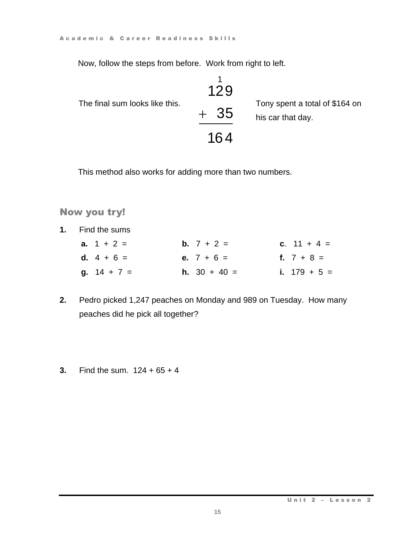Now, follow the steps from before. Work from right to left.

The final sum looks like this.  
\n
$$
\begin{array}{r} 1/29 \\ +35 \end{array}
$$
\nThey spent a total of \$164 on his car that day.

\n
$$
\begin{array}{r} 1/29 \\ +35 \end{array}
$$

This method also works for adding more than two numbers.

# Now you try!

**1.** Find the sums

| a. $1 + 2 =$  | <b>b.</b> $7 + 2 =$ | c. $11 + 4 =$  |
|---------------|---------------------|----------------|
| d. $4 + 6 =$  | e. $7 + 6 =$        | f. $7 + 8 =$   |
| $9. 14 + 7 =$ | <b>h.</b> 30 + 40 = | i. $179 + 5 =$ |

- **2.** Pedro picked 1,247 peaches on Monday and 989 on Tuesday. How many peaches did he pick all together?
- **3.** Find the sum. 124 + 65 + 4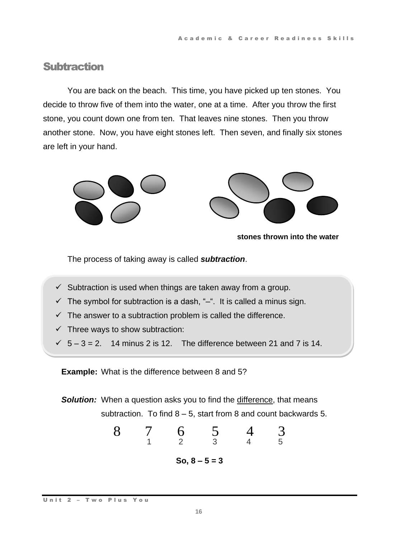# **Subtraction**

You are back on the beach. This time, you have picked up ten stones. You decide to throw five of them into the water, one at a time. After you throw the first stone, you count down one from ten. That leaves nine stones. Then you throw another stone. Now, you have eight stones left. Then seven, and finally six stones are left in your hand.



**stones thrown into the water**

The process of taking away is called *subtraction*.

- $\checkmark$  Subtraction is used when things are taken away from a group.
- $\checkmark$  The symbol for subtraction is a dash, "-". It is called a minus sign.
- $\checkmark$  The answer to a subtraction problem is called the difference.
- $\checkmark$  Three ways to show subtraction:
- $\checkmark$  5 3 = 2. 14 minus 2 is 12. The difference between 21 and 7 is 14.

**Example:** What is the difference between 8 and 5?

**Solution:** When a question asks you to find the difference, that means

subtraction. To find 8 – 5, start from 8 and count backwards 5.

\n8 7 6 5 4 3 4 5

\nSo, 
$$
8 - 5 = 3
$$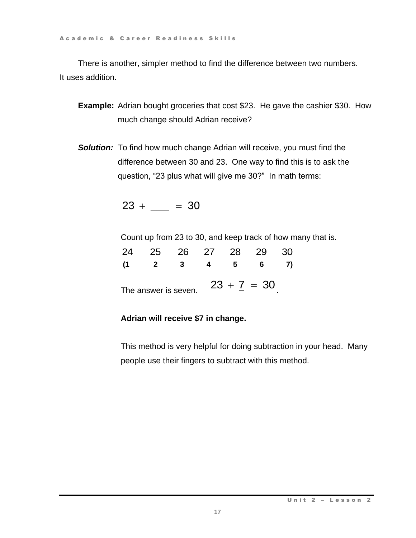A c a d e m i c & C a r e e r R e a d i n e s s S k ills

There is another, simpler method to find the difference between two numbers. It uses addition.

- **Example:** Adrian bought groceries that cost \$23. He gave the cashier \$30. How much change should Adrian receive?
- **Solution:** To find how much change Adrian will receive, you must find the difference between 30 and 23. One way to find this is to ask the question, "23 plus what will give me 30?" In math terms: Example 1 Readiness Skills<br>
23 are er Readiness Skills<br>
23 drien blow much die difference between two numbers.<br>
23 drien blow much change Adrian receive?<br>
23 me way to find this is to ask the<br>
23 + \_\_\_ = 30<br>
23 are 25 26

|                      |  |                          |               |      | Count up from 23 to 30, and keep track of how many that is. |
|----------------------|--|--------------------------|---------------|------|-------------------------------------------------------------|
|                      |  | 24 25 26 27 28 29        |               | - 30 |                                                             |
|                      |  | $(1 \t2 \t3 \t4 \t5 \t6$ |               |      |                                                             |
| The answer is seven. |  |                          | $23 + 7 = 30$ |      |                                                             |

# **Adrian will receive \$7 in change.**

This method is very helpful for doing subtraction in your head. Many people use their fingers to subtract with this method.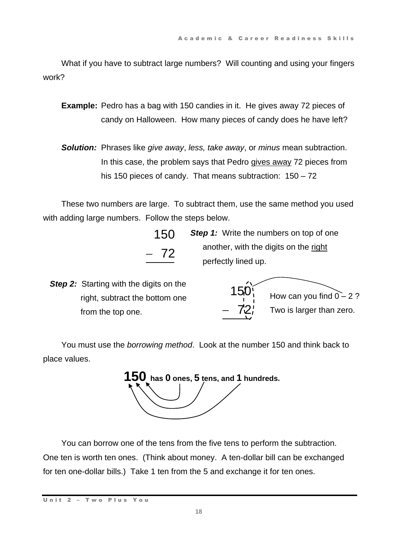What if you have to subtract large numbers? Will counting and using your fingers work?

**Example:** Pedro has a bag with 150 candies in it. He gives away 72 pieces of candy on Halloween. How many pieces of candy does he have left?

*Solution:* Phrases like *give away*, *less, take away*, or *minus* mean subtraction. In this case, the problem says that Pedro gives away 72 pieces from his 150 pieces of candy. That means subtraction: 150 – 72

These two numbers are large. To subtract them, use the same method you used with adding large numbers. Follow the steps below.

> 150 72

**Step 1:** Write the numbers on top of one another, with the digits on the right perfectly lined up.

**Step 2:** Starting with the digits on the right, subtract the bottom one from the top one.



You must use the *borrowing method*. Look at the number 150 and think back to place values.

 **150 has <sup>0</sup> ones, <sup>5</sup> tens, and <sup>1</sup> hundreds.**

You can borrow one of the tens from the five tens to perform the subtraction. One ten is worth ten ones. (Think about money. A ten-dollar bill can be exchanged for ten one-dollar bills.) Take 1 ten from the 5 and exchange it for ten ones.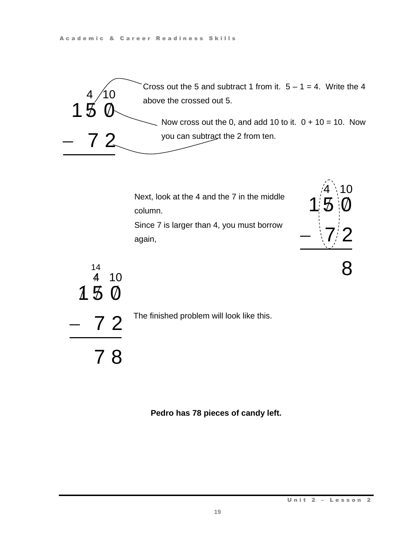

Next, look at the 4 and the 7 in the middle column.

Since 7 is larger than 4, you must borrow again,



8



The finished problem will look like this.

**Pedro has 78 pieces of candy left.**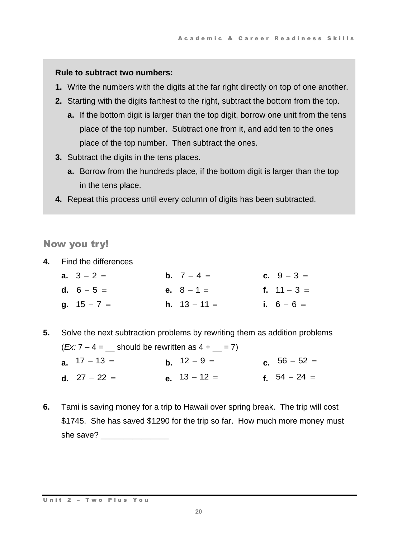#### **Rule to subtract two numbers:**

- **1.** Write the numbers with the digits at the far right directly on top of one another.
- **2.** Starting with the digits farthest to the right, subtract the bottom from the top.
	- **a.** If the bottom digit is larger than the top digit, borrow one unit from the tens place of the top number. Subtract one from it, and add ten to the ones place of the top number. Then subtract the ones.
- **3.** Subtract the digits in the tens places.
	- **a.** Borrow from the hundreds place, if the bottom digit is larger than the top in the tens place.
- **4.** Repeat this process until every column of digits has been subtracted.

Now you try!

**4.** Find the differences

| <b>a.</b> $3 - 2 =$ | <b>b.</b> $7 - 4 =$   | <b>c.</b> $9 - 3 =$ |
|---------------------|-----------------------|---------------------|
| <b>d.</b> $6 - 5 =$ | <b>e.</b> $8 - 1 =$   | f. $11 - 3 =$       |
| g. $15 - 7 =$       | <b>h.</b> $13 - 11 =$ | i. $6 - 6 =$        |

**5.** Solve the next subtraction problems by rewriting them as addition problems

|                       | $(EX: 7 - 4 =$ should be rewritten as $4 +$ = 7) |                |
|-----------------------|--------------------------------------------------|----------------|
| <b>a.</b> $17 - 13 =$ | <b>b</b> , $12 - 9 =$                            | c. $56 - 52 =$ |

- **d.**  $27 22 =$ **e.**  $13 - 12 =$  **f.**  $54 - 24 =$
- **6.** Tami is saving money for a trip to Hawaii over spring break. The trip will cost \$1745. She has saved \$1290 for the trip so far. How much more money must she save?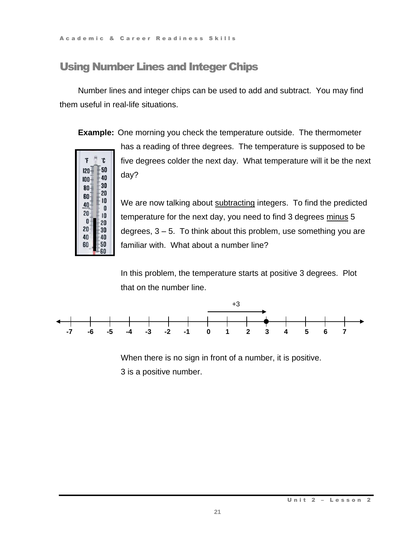A c a d e m i c & C a r e e r R e a d i n e s s S k ills

**F** 

 $120 -$ 

 $100<sup>1</sup>$ 

 $80<sup>1</sup>$ 

 $60<sup>1</sup>$ 

40

 $20<sub>2</sub>$ 

0

 $20<sup>1</sup>$ 

40

60

Ĵ. - 50

 $-40$ 

 $30$ 

 $20$ 

 $10$ 

0

 $10$ 

 $-20$ 

-30

40

 $-50$ 60

# Using Number Lines and Integer Chips

Number lines and integer chips can be used to add and subtract. You may find them useful in real-life situations.

**Example:** One morning you check the temperature outside. The thermometer

has a reading of three degrees. The temperature is supposed to be five degrees colder the next day. What temperature will it be the next day?

We are now talking about subtracting integers. To find the predicted temperature for the next day, you need to find 3 degrees minus 5 degrees, 3 – 5. To think about this problem, use something you are familiar with. What about a number line?

In this problem, the temperature starts at positive 3 degrees. Plot that on the number line.



When there is no sign in front of a number, it is positive. 3 is a positive number.

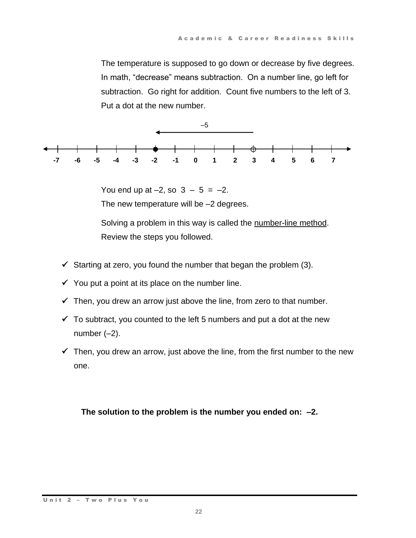The temperature is supposed to go down or decrease by five degrees. In math, "decrease" means subtraction. On a number line, go left for subtraction. Go right for addition. Count five numbers to the left of 3. Put a dot at the new number.



You end up at  $-2$ , so  $3 - 5 = -2$ . The new temperature will be –2 degrees.

Solving a problem in this way is called the number-line method. Review the steps you followed.

- $\checkmark$  Starting at zero, you found the number that began the problem (3).
- $\checkmark$  You put a point at its place on the number line.
- $\checkmark$  Then, you drew an arrow just above the line, from zero to that number.
- $\checkmark$  To subtract, you counted to the left 5 numbers and put a dot at the new number  $(-2)$ .
- $\checkmark$  Then, you drew an arrow, just above the line, from the first number to the new one.

**The solution to the problem is the number you ended on: –2.**

#### Unit 2 - Two Plus You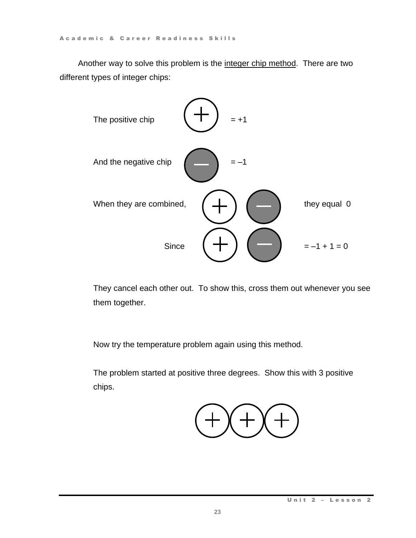Another way to solve this problem is the integer chip method. There are two different types of integer chips:



They cancel each other out. To show this, cross them out whenever you see them together.

Now try the temperature problem again using this method.

The problem started at positive three degrees. Show this with 3 positive chips.

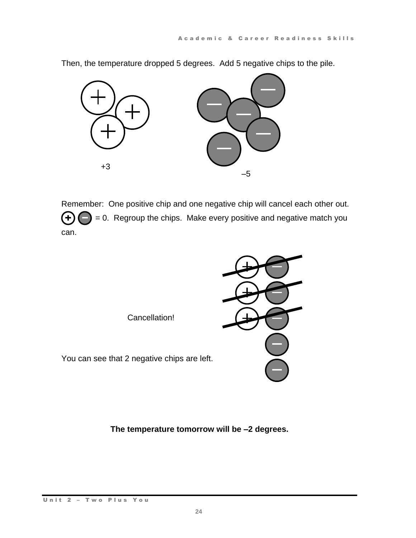+3 –5

Then, the temperature dropped 5 degrees. Add 5 negative chips to the pile.

Remember: One positive chip and one negative chip will cancel each other out.  $(+)$   $($   $)$  = 0. Regroup the chips. Make every positive and negative match you can.



**The temperature tomorrow will be –2 degrees.**

#### Unit 2 - Two Plus You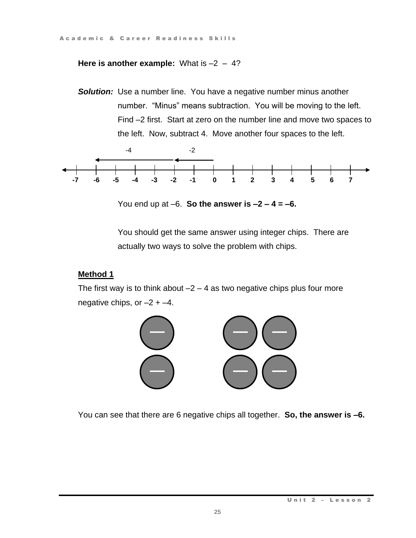# **Here is another example:** What is  $-2 - 4$ ?

**Solution:** Use a number line. You have a negative number minus another number. "Minus" means subtraction. You will be moving to the left. Find –2 first. Start at zero on the number line and move two spaces to the left. Now, subtract 4. Move another four spaces to the left.



You end up at  $-6$ . **So the answer is**  $-2 - 4 = -6$ **.** 

You should get the same answer using integer chips. There are actually two ways to solve the problem with chips.

# **Method 1**

The first way is to think about  $-2 - 4$  as two negative chips plus four more negative chips, or  $-2 + -4$ .



You can see that there are 6 negative chips all together. **So, the answer is –6.**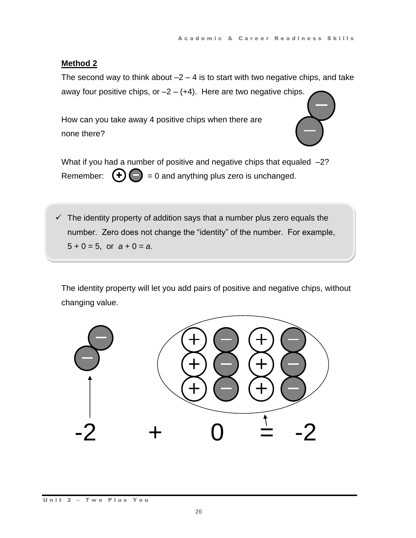#### **Method 2**

The second way to think about  $-2 - 4$  is to start with two negative chips, and take away four positive chips, or  $-2 - (+4)$ . Here are two negative chips.

How can you take away 4 positive chips when there are none there?



What if you had a number of positive and negative chips that equaled -2? Remember:  $(\pm)(-) = 0$  and anything plus zero is unchanged.

 $\checkmark$  The identity property of addition says that a number plus zero equals the number. Zero does not change the "identity" of the number. For example,  $5 + 0 = 5$ , or  $a + 0 = a$ .

The identity property will let you add pairs of positive and negative chips, without changing value.

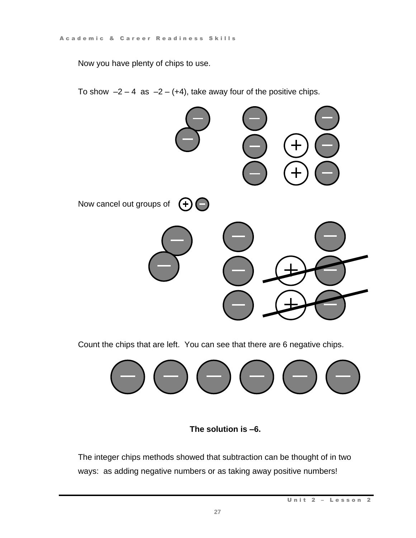Now you have plenty of chips to use.

To show  $-2 - 4$  as  $-2 - (+4)$ , take away four of the positive chips.



Count the chips that are left. You can see that there are 6 negative chips.



**The solution is –6.**

The integer chips methods showed that subtraction can be thought of in two ways: as adding negative numbers or as taking away positive numbers!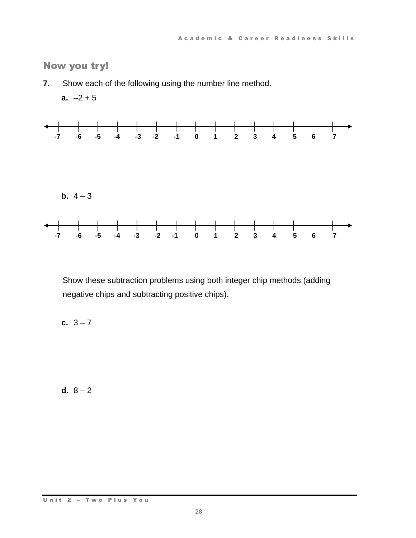Now you try!

**7.** Show each of the following using the number line method.



Show these subtraction problems using both integer chip methods (adding negative chips and subtracting positive chips).

**c.**  $3 - 7$ 

**d.**  $8 - 2$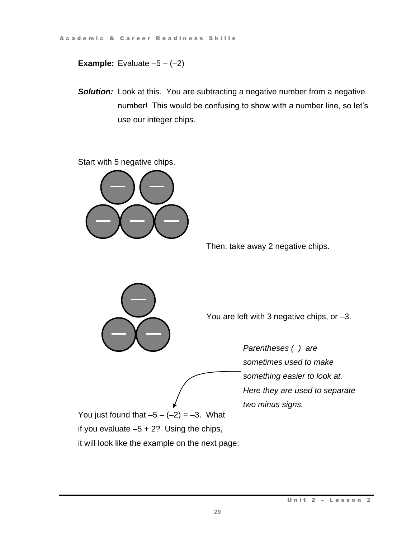**Example:** Evaluate  $-5 - (-2)$ 

**Solution:** Look at this. You are subtracting a negative number from a negative number! This would be confusing to show with a number line, so let's use our integer chips.

Start with 5 negative chips.



Then, take away 2 negative chips.



You are left with 3 negative chips, or –3.

*Parentheses ( ) are sometimes used to make something easier to look at. Here they are used to separate two minus signs.*